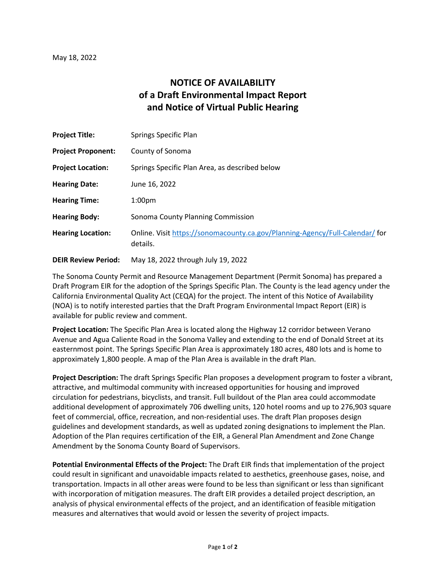## **NOTICE OF AVAILABILITY of a Draft Environmental Impact Report and Notice of Virtual Public Hearing**

| <b>Project Title:</b>     | <b>Springs Specific Plan</b>                                                             |
|---------------------------|------------------------------------------------------------------------------------------|
| <b>Project Proponent:</b> | County of Sonoma                                                                         |
| <b>Project Location:</b>  | Springs Specific Plan Area, as described below                                           |
| <b>Hearing Date:</b>      | June 16, 2022                                                                            |
| <b>Hearing Time:</b>      | 1:00 <sub>pm</sub>                                                                       |
| <b>Hearing Body:</b>      | Sonoma County Planning Commission                                                        |
| <b>Hearing Location:</b>  | Online. Visit https://sonomacounty.ca.gov/Planning-Agency/Full-Calendar/ for<br>details. |
|                           |                                                                                          |

**DEIR Review Period:** May 18, 2022 through July 19, 2022

The Sonoma County Permit and Resource Management Department (Permit Sonoma) has prepared a Draft Program EIR for the adoption of the Springs Specific Plan. The County is the lead agency under the California Environmental Quality Act (CEQA) for the project. The intent of this Notice of Availability (NOA) is to notify interested parties that the Draft Program Environmental Impact Report (EIR) is available for public review and comment.

**Project Location:** The Specific Plan Area is located along the Highway 12 corridor between Verano Avenue and Agua Caliente Road in the Sonoma Valley and extending to the end of Donald Street at its easternmost point. The Springs Specific Plan Area is approximately 180 acres, 480 lots and is home to approximately 1,800 people. A map of the Plan Area is available in the draft Plan.

**Project Description:** The draft Springs Specific Plan proposes a development program to foster a vibrant, attractive, and multimodal community with increased opportunities for housing and improved circulation for pedestrians, bicyclists, and transit. Full buildout of the Plan area could accommodate additional development of approximately 706 dwelling units, 120 hotel rooms and up to 276,903 square feet of commercial, office, recreation, and non-residential uses. The draft Plan proposes design guidelines and development standards, as well as updated zoning designations to implement the Plan. Adoption of the Plan requires certification of the EIR, a General Plan Amendment and Zone Change Amendment by the Sonoma County Board of Supervisors.

**Potential Environmental Effects of the Project:** The Draft EIR finds that implementation of the project could result in significant and unavoidable impacts related to aesthetics, greenhouse gases, noise, and transportation. Impacts in all other areas were found to be less than significant or less than significant with incorporation of mitigation measures. The draft EIR provides a detailed project description, an analysis of physical environmental effects of the project, and an identification of feasible mitigation measures and alternatives that would avoid or lessen the severity of project impacts.